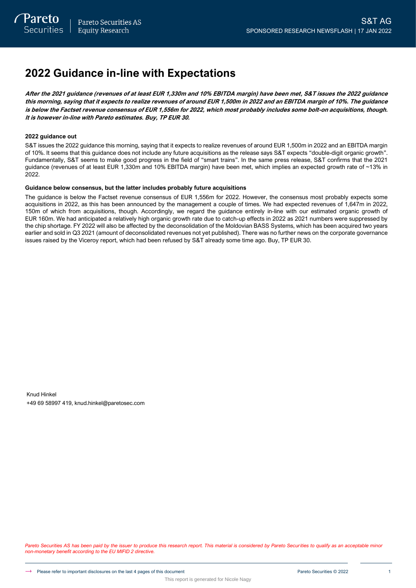# **2022 Guidance in-line with Expectations**

**After the 2021 guidance (revenues of at least EUR 1,330m and 10% EBITDA margin) have been met, S&T issues the 2022 guidance this morning, saying that it expects to realize revenues of around EUR 1,500m in 2022 and an EBITDA margin of 10%. The guidance is below the Factset revenue consensus of EUR 1,556m for 2022, which most probably includes some bolt-on acquisitions, though. It is however in-line with Pareto estimates. Buy, TP EUR 30.**

### **2022 guidance out**

S&T issues the 2022 guidance this morning, saying that it expects to realize revenues of around EUR 1,500m in 2022 and an EBITDA margin of 10%. It seems that this guidance does not include any future acquisitions as the release says S&T expects "double-digit organic growth". Fundamentally, S&T seems to make good progress in the field of "smart trains". In the same press release, S&T confirms that the 2021 guidance (revenues of at least EUR 1,330m and 10% EBITDA margin) have been met, which implies an expected growth rate of ~13% in 2022.

### **Guidance below consensus, but the latter includes probably future acquisitions**

The guidance is below the Factset revenue consensus of EUR 1,556m for 2022. However, the consensus most probably expects some acquisitions in 2022, as this has been announced by the management a couple of times. We had expected revenues of 1,647m in 2022, 150m of which from acquisitions, though. Accordingly, we regard the guidance entirely in-line with our estimated organic growth of EUR 160m. We had anticipated a relatively high organic growth rate due to catch-up effects in 2022 as 2021 numbers were suppressed by the chip shortage. FY 2022 will also be affected by the deconsolidation of the Moldovian BASS Systems, which has been acquired two years earlier and sold in Q3 2021 (amount of deconsolidated revenues not yet published). There was no further news on the corporate governance issues raised by the Viceroy report, which had been refused by S&T already some time ago. Buy, TP EUR 30.

Knud Hinkel +49 69 58997 419, knud.hinkel@paretosec.com

Pareto Securities AS has been paid by the issuer to produce this research report. This material is considered by Pareto Securities to qualify as an acceptable minor *non-monetary benefit according to the EU MIFID 2 directive.*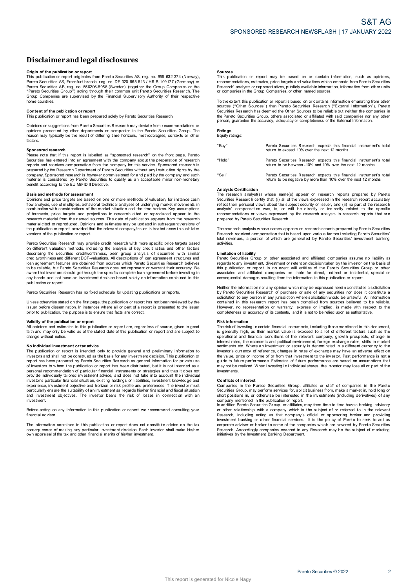# **Disclaimerandlegal disclosures Disclaimer and legal disclosures<br>Origin of the publication or report<br>This publication or report originates from Pareto Securities AS, reg. no. 956 632 374 (Norway),**

**DISCIAIMET AND LEGAL DISCIOSUTES**<br>Prigin of the publication or report<br>This publication or report orginates from Pareto Securities AS, reg. no. 956 632 374 (Norway)<br>Pareto Securities AS, Frankfurt branch, reg. no. DE 320 9 Pareto Securities AB, reg. no. 556206-8956 (Sweden) (together the Group Companies or the **Origin of the publication or report**<br>This publication or report originates from Pareto Securities AS, reg. no. 956 632 374 (Norway)<br>Pareto Securities AS, Frankfurt branch, reg. no. DE 320 965 513 / HR B 109177 (Germany) o home countries. **Content of the publication or report**<br> **Content of the publication or report**<br> **Content of the publication or report**<br> **Content of the publication or report**<br> **This publication or report**<br> **This publication or report**<br> **C** 

Content of the publication or report<br>This publication or report has been prepared solely by Pareto Securities Research.<br>Opinions or suggestions from Pareto Securities Research may deviate from recommendations or Content of the publication or report<br>This publication or report has been prepared solely by Pareto Securities Research.<br>Opinions or suggestions from Pareto Securities Research may deviate from recommendations or<br>perinons p factors.

### **Sponsored research**

Please note that if this report is labelled as "sponsored research" on the front page, Pareto Factors.<br> **Sponsored research**<br>
Please note that if this report is labelled as "sponsored research" on the front page, Pareto<br>
Securities has entered into an agreement with the company about the preparation of research<br>
re prepare a price to none or more than the company. Sponsored research is however commissioned for and paid by the company and such material is considered by Pareto Securities to qualify as an acceptable minor non-monetary b

**Basis and methods for assessment**<br>Opinions and price targets are based on one or more methods of valuation, for instance cash flow analysis, use of m ultiples, behavioral technical analyses o f underlying market movements i n Basis and methods for assessment<br>Opinions and price targets are based on one or more methods of valuation, for instance cash<br>flow analysis, use of multiples, behavioral technical analyses of underlying market movements in<br> research material from the named sources. The date of publication appears from the research material cited or reproduced. Opinions and estimates may be updated in subsequent versions of Finance and the publications of the market isluation and the time horizon. Key assumptions combination with considerations of the market situation and the time horizon. Key assumptions of ofroecasts, price targets and proj versions of the publication or report.

Pareto Securities Research may provide credit research with more specific price targets based on different valuation methods, including the analysis of key credit ratios and other factors on different valuation or report, provided that the relevant company/issuer is treated anew in such later<br>versions of the publication or report.<br>Pareto Securities Research may provide credit research with more specific pri Persions of the publication or report.<br>Pareto Securities Research may provide credit research with more specific price targets based<br>on different valuation methods, including the analysis of key credit ratios and other fac publication or report.

Pareto Securities Research has no fixed schedule for updating publications or reports.

publication or report.<br>Pareto Securities Research has no fixed schedule for updating publications or reports.<br>Unless otherwise stated on the first page, the publication or report has not been reviewed by the<br>issuer before Unless otherwise stated on the first passer before dissemination. In instand<br>prior to publication, the purpose is to<br>**Validity of the publication or report**<br>All opinions and estimates in this put

Sissuer before dissemination. In instances where all or part of a report is presented to the issuer<br>prior to publication, the purpose is to ensure that facts are correct.<br>**Validity of the publication or report**<br>All opinion change without notice. **N optimize that the publication or report are, regardless of source, given in good faith and may only be valid as of the stated date of this publication or report and are subject to change without notice.<br>
<b>No individual** 

incriangle without notice.<br> **No individual investment or tax advice**<br>
The publication or report is intended only to provide general and preliminary information to<br>
investors and shall not be construed as the basis for any No individual investment or tax advice<br>The publication or report is intended only to provide general and preliminary information to<br>investors and shall not be construed as the basis for any investment decision. This public or investor is particularly tailored investment as been used to take into account the individual<br>provide individually tailored investment advice, and does not take into account the individual<br>investor's particular financia investment. Separation, in connect on any information in this publication or report and filter financial and fiscal situation<br>and investment objectives. The investor bears the risk of losses in connection with an<br>investment.<br>Before ac

financial advisor Before acting on any information in this publication or report, we recommend consulting your<br>financial advisor.<br>The information contained in this publication or report does not constitute advice on the tax

Before acting on any information in this publication or report, we recommend consulting your<br>financial advisor.<br>Consequences of making any particular investment decision. Each investor shall make his/her<br>consequences of ma

### **Sources**

**Sources**<br>This publication or report may be based on or contain information, such as opinions,<br>recommendations, estimates, price targets and valuations which emanate from Pareto Securities<br>Research' analysts or representat **Sources**<br>This publication or report may be based on or contain<br>recommendations, estimates, price targets and valuations which<br>Research' analysts or representatives, publicly available informa<br>or companies in the Group Com The extent this publication or report is based on or contains which emanate from Pareto Securities<br>
Research' analysts or representatives, publicly available information, information from other units<br>
or companies in the G

To the extent this publication or report is based on or contains information emanating from other<br>Sources ("Other Sources") than Pareto Securities Research ("External Information"), Pareto<br>Securities Research has deem ed t the extent this publication or report is based on or contains information emanating from other<br>sources ("Other Sources") than Pareto Securities Research ("External Information"), Pareto<br>Securities Research has deem ed the

## **Ratings** Equity ratings:

"Buy" Pareto Securities Research expects this financial instrument's total return to exceed 10% over the next 12 months "Hold" Pareto Securities Research expects this financial instrument's total Pareto Securities Research expects this financial instrume<br>return to exceed 10% over the next 12 months<br>Pareto Securities Research expects this financial instrume<br>return to be between -10% and 10% over the next 12 months "Sell" Pareto Securities Research expects this financial instrument's total Pareto Securities Research expects this financial instrument's<br>return to be between -10% and 10% over the next 12 months<br>Pareto Securities Research expects this financial instrument's<br>return to be negative by more than 10%

### **Analysts Certification**

The research analyst(s) whose name(s) appear on research reports prepared by Pareto Securities Research certify that: (i) all of the views expressed in the research report accurately reflect their personal views about the subject security or issuer, and (ii) no part of the research Analysts Certification<br>The research analyst(s) whose name(s) appear on research reports prepared by Pareto<br>Securities Research certify that (i) all of the views expressed in the research report accurately<br>reflect their per The research analysts whose names appears on research analysts in research reports that are<br>prepared by Pareto Securities Research.<br>The research analysts whose names appears on research reports prepared by Pareto Securitie

recommendations or views expressed by the research analysts in research reports that are<br>prepared by Pareto Securities Research.<br>The research analysts whose names appears on research reports prepared by Pareto Securities<br>t activities. **Limitation**<br>**Research received** contains the field of the activities.<br>**Limitation of liability**<br>**Pareto Securities** Gr

In the control of liability<br>
activities.<br> **Limitation of liability**<br>
Pareto Securities Croup or other associated and affiliated companies assume no liability<br>
Pareto Securities Group or other associated and affiliated comp

regions to any investment, any cover will entitle of the Pareto Securities Group or other<br>this publication or report. In no event will entitle sof the Pareto Securities Group or other<br>associated and affiliated companies be solicitation to any person in any jurisdiction where solicitation would be unlawful. All information contained in this research report has been compiled from sources believed to be reliable.<br>However, no representation or w

### **Risk information**

However, no representation or warranty, express or implied, is made with respect to the<br>completeness or accuracy of its contents, and it is not to be relied upon as authoritative.<br> **Risk information**<br>
The risk of investing inversional and financial conditions of the relevant company, growth prospects, change in interest rates, the economic and political environment, foreign exchange rates, shifts in market semtiments etc. Where an investor's operational and financial conditions of the relevant company, growth prospects, change in interest rates, the economic and political environment, foreign exchange rates, shifts in market sentiments etc. Where an investment marks the content and publication of security is denominated in a different currency to the investor's currency of reference, changes in rates of exchange may have an adverse effect on the value, price or income of or from investments. **Conflicts of the conflicts**<br> **Conflicts** of **interest**<br> **Conflicts** of **interest**<br> **Conflicts** of **interest** 

may not be realized. When investing in individual shares, the investor may lose all or part of the<br>investments.<br>Conflicts of interest<br>Comparises in the Pareto Securities Group, affiliates or staff of companies in the Paret

Companies in the Pareto Securities Group, affiliates or staff of companies in the Pareto Securities Group, may perform services for, solicit business from, make a market in, hold long or short positions in, or otherwise be Accordingly company which is the subject of or referred to in the relevant<br>Research, including acting as that company's official or sponsoring broker and providing<br>investment banking or other financial services. It is the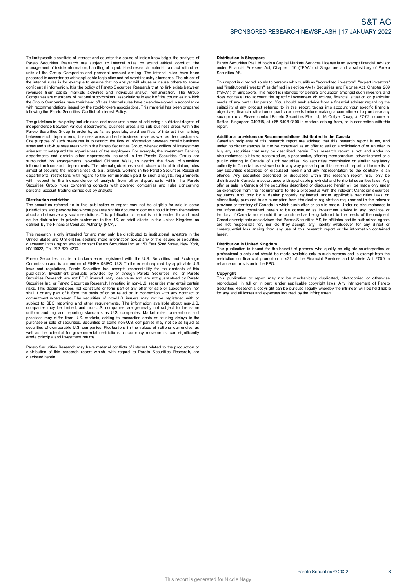To limit possible conflicts of interest and counter the abuse of inside knowledge, the analysts of<br>Pareto Securities Research are subject to internal rules on sound ethical conduct, the<br>management of inside information, ha To limit possible conflicts of interest and counter the abuse of inside knowledge, the analysts of Pareto Securities Research are subject to internal rules on sound ethical conduct, the management of inside information, ha revenues from capital markets activities and individual analyst remuneration. The Group and or the Chapter of the price with applicable legislation and relevant industry standards. The object of the internal rules is for example to ensure that no analyst will abuse or cause others to abuse the internal rules following the Pareto Securities Conflict of Interest Policy. The guidelines in the policy include the social conducts in the policy of the proportion and the proportion and measures with recommendations issued by the stockbrokers associations. This material has been prepared followi

independence between various departments, business areas and sub-business areas within the<br>Pareto Securities Group in order to, as far as possible, avoid conflicts of interest from arising With recommendance is used of the Pareto Securities Conflict of Interest Policy.<br>The guidelines in the policy include rules and measures aimed at achieving a sufficient degree of<br>pareto Securities Group in order to, as far between such departments, business areas and sub-business areas as well as their customers. The guidelines in the policy include rules and measures aimed at achieving a sufficient degree of independence between various departments, business areas and sub-business areas within the between such departments, busines Pareto Securities Group in order to, as far as possible, avoid conflicts of interest from arising<br>between such departments, business areas and sub-business areas as well as their customers.<br>One purpose of such measures is arias and to safeguard the impartialness of the employees. For example, the linvestment Banking departments and certain other departments included in the Pareto Securities Group are surrounded by arrangements, so-called Ch with respect to the independence of analysts from other departments within the Pareto Securities Group rules Group rules Concerning in the Companies of the concerning of the contact without limitation, rules aimed at securiting the impartialness of, e.g., analysts working in the Pareto Securities Research d The securities Group rules concerning contacts with covered companies and rules concerning<br>personal account trading carried out by analysts.<br>**Distribution restriction**<br>The securities referred to in this publication or repo

### **Distribution restriction**

personal account trading carried out by analysts.<br>Distribution restriction<br>The securities referred to in this publication or report may not be eligible for sale in some<br>jurisdictions and persons into whose possession this Distribution restriction<br>The securities referred to in this publication or report may not be eligible for sale in some<br>ilurisdictions and persons into whose possession this document comes should inform themselves<br>about and This research is only intended for and music procedure in the US, or retail clients in the United Kingdom, as<br>not be distributed to private customers in the US, or retail clients in the United Kingdom, as<br>defined by the Fi

United States and U.S entities seeking more information about any of the issuers or securities Note that the britancial Conduct Authority (FCA).<br>This research is only intended for and may only be distributed to institutional investors in the<br>United States and U.S entities seking more information about any of the iss Pareto Securities Inc. is a broker-dealer registered with the U.S. Securities and U.S entities and L.S. and registered with the U.S. Securities and Exchange<br>Commission and is a member of FINRA &SIPC. U.S. To the extent req

laws and regulations, Pareto Securities Inc. accepts responsibility for the contents of this Pareto Securities Inc. a la abroker-dealer registered with the U.S. Securities and Exchange<br>Commission and is a member of FINRA &SIPC. U.S. To the extent required by applicable U.S<br>Idwas and regulations, Pareto Securities Securities Research are not FDIC insured, may lose value and are not guaranteed by Pareto<br>Securities Research are not FDIC insured, may lose value and are not guaranteed by Pareto<br>Securities Inc. or Pareto Securities Resea commitment whatsoever. The securities of non-U.S. issuers may not be registered with or subject to SEC reporting and other requirements. The information available about non-U.S. companies may be limited, and non-U.S. compa securities of comparies may be limited, and non-U.S. companies are generally not subject to the same<br>uniform auditing and reporting standards as U.S. companies. Market rules, conventions and<br>practices may differ form U.S. erode principal and investment returns. Pareto Securities of comparable U.S. comparies. Fluctuations in the values of rational currencies, as<br>well as the potential for governmental restrictions on currency movements, can significantly<br>erode principal and investm

disclosed herein.

### **Distribution in Singapore**

Distribution in Singapore<br>Pareto Securities Pte Ltd holds a Capital Markets Services License is an exempt financial advisor<br>under Financial Advisers Act, Chapter 110 ("FAA") of Singapore and a subsidiary of Pareto under Financial Advisers Act, Chapter 110 ("FAA") of Singapore and a subsidiary of Pareto Securities AS. Pareto Securities Pte Ltd holds a Capital Markets Services License is an exempt financial advisor<br>under Financial Advisers Act, Chapter 110 ("FAA") of Singapore and a subsidiary of Pareto<br>Securities AS.<br>This report is dire

ration conditions and a subsidiary of Parent uncertained solutions and a subsidiary of Parent<br>securities AS.<br>This report is directed solely to persons who qualify as "accredited investors", "expert investors"<br>and "institut and "institutional investors" as defined in section 4A(1) Securities and Futures Act, Chapter 289<br>("SFA") of Singapore. This report is intended for general circulation amongst such investors and<br>("SFA") of Singapore. This report.

such product. Please contact Pareto Securities Pte Ltd, 16 Collyer Quay, # 27-02 Income at Raffles, Singapore 049318, at +65 6408 9800 in matters arising from, or in connection with this report.<br> **Additional provisions on** under no circumstances is it to be construed as an offer to sell or a solicitation of or an offer to buy any securities that may be described herein. This research report is not, and under no circumstances is it to be cons under no circumstances is it to be construed as an offer to sell or a solicitation of or an offer to<br>buy any securities that may be described herein. This research report is not, and under no<br>circumstances is it to be cons any offerice. Any securities described or discussed within this research report may only be<br>distributed in Canada in accordance with applicable provincial and territorial securities laws. Any<br>offer or sale in Canada of the province or territory of Canada in which such offer or sale is made. Under no circumstances is<br>the information contained herein to be construed as being tailored to the needs of the recipient.<br>Carritory of Canada nor shoul province or territory of Canada in which such offer or sale is made. Under no circumstances is the information contained herein to be construed as being tailored to the needs of the recipient. Canadian recipients are advis herein.

### **Distribution in United Kingdom**

consequential loss arising from any use of this research report or the information contained<br>herein.<br>**Distribution in United Kingdom**<br>This publication is issued for the benefit of persons who qualify as eligible counterpar professional clients and should be made available only to such persons and is exempt from the restriction on financial promotion in s21 of the Financial Services and Markets Act 2000 in reliance on provision in the FPO.<br>Co

### **Copyright**

reliance on provision in the FPO.<br> **Copyright**<br>
This publication or report may not be mechanically duplicated, photocopied or otherwise<br>
reproduced, in full or in part, under applicable copyright laws. Any infringement of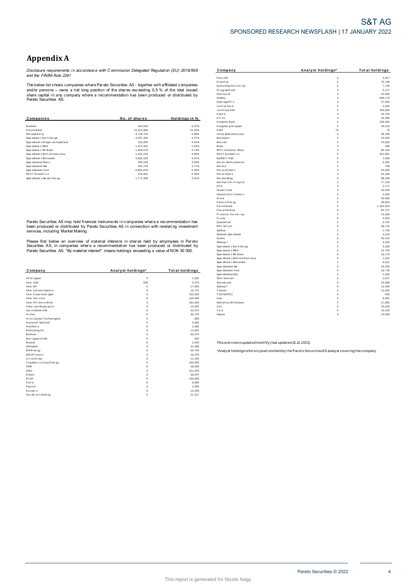# **Appendix A**

*Disclosure requirements i n accordance with C ommission Delegated Regulati on (EU) 2016/958 and the FINRA Rule 2241*

|                                  |               |                     | Kalera                 | $\Omega$    | 26,75   |
|----------------------------------|---------------|---------------------|------------------------|-------------|---------|
| Companies                        | No. of shares | <b>Holdinasin</b> % | Kitron                 |             | 18,386  |
|                                  |               |                     | Komplett Bank          | $\mathbf 0$ | 209,400 |
| Bonheur                          | 240,945       | 0.57%               | Kongsberg Gruppen      | $^{\circ}$  | 36,02   |
| Pareto Bank                      | 15,311,980    | 21.92%              | <b>KWS</b>             | 75          | 7:      |
| Selvaag Bolig                    | 3.729.704     | 3.98%               | Ler øy Seaf ood Gr oup | $\mathbf 0$ | 39,32   |
| Sparebank 1 Nor d-Nor ge         | 4,287,282     | 4.27%               | Meltwater              | $\mathbf 0$ | 24,000  |
| SpareBank 1 Ringer ike Hadel and | 100,000       | 0.64%               | Mercell                | $\mathbf 0$ | 24,86   |
| Sparebank 1 SMN                  | 1,970,442     | 1.52%               | Mowi                   | $\Omega$    | 48      |
| Sparebank 1 SR-Bank              | 1,856,679     | 0.73%               | MPC Container Ships    | $^{\circ}$  | 84, 16  |
| SpareBank 1 Østf old Akershus    | 1,232,229     | 9.95%               | <b>NEXT Biometrics</b> | $^{\circ}$  | 510,90  |
| SpareBank 1 Østlandet            | 3,833,163     | 3.61%               | NORBIT ASA             | $\Omega$    | 1,65    |
| Sparebanken Møre                 | 305,239       | 3.09%               | Nor dic Semi conductor | 0           | 5,39    |
| Spar ebanken Sør                 | 433,744       | 2.77%               | Noreco                 | $\mathbf 0$ | 79      |
| Spar ebanken Vest                | 6,861,616     | 6.39%               | Norse Atlantic         | $\Omega$    | 25,000  |
| <b>NEXT Biometrics</b>           | 510,901       | 0.56%               | Norsk Hydro            | $^{\circ}$  | 94,189  |
| SpareBank 1 Sør øst-Nor ge       | 1,771,308     | 2.81%               | Norske Skog            | $\mathbf 0$ | 98,49   |

|                          |                   |                       | <b>Open country on</b>                                    |                                                                                                   |        |
|--------------------------|-------------------|-----------------------|-----------------------------------------------------------|---------------------------------------------------------------------------------------------------|--------|
| Company                  | Analyst holdings* | <b>Total holdings</b> | Spar ebanken Vest                                         | $\Omega$                                                                                          | 16,73  |
|                          |                   |                       | Spar ebanken Øst                                          |                                                                                                   | 1,50   |
| AF Gr uppen              | $\mathbf 0$       | 1,825                 | Stolt-Nielsen                                             | $\Omega$                                                                                          | 1,81   |
| Aker ASA                 | 500               | 3,075                 | Stor ebr and                                              |                                                                                                   | 25,69  |
| Aker BP                  |                   | 17,942                | Subsea 7                                                  |                                                                                                   | 12,49  |
| Aker Carbon Capture      |                   | 10,721                | Telenor                                                   | $\Omega$                                                                                          | 12,052 |
| Aker Clean Hydrogen      |                   | 133,500               | TGS-NOPEC                                                 | $\Omega$                                                                                          | 60     |
| Aker Horizons            |                   | 125,848               | Vow                                                       | $\Omega$                                                                                          | 8,68   |
| Aker Of f shore Wind     |                   | 164,028               | Wallenius Wilhemsen                                       | $\Omega$                                                                                          | 17,80  |
| American Shipping Co.    |                   | 13,300                | XXL                                                       | $^{\circ}$                                                                                        | 20,92  |
| Aprila Bank ASA          |                   | 22,675                | Yara                                                      | $^{\circ}$                                                                                        | 15,42  |
| Archer                   |                   | 30,170                | Zaptec                                                    | $\mathbf 0$                                                                                       | 14,000 |
| ArcticZymes Technologies |                   | 684                   |                                                           |                                                                                                   |        |
| Austevoll Seaf ood       |                   | 3,600                 |                                                           |                                                                                                   |        |
| AutoStore                |                   | 1,685                 |                                                           |                                                                                                   |        |
| B2Holding AS             |                   | 13,940                |                                                           |                                                                                                   |        |
| Bonheur                  |                   | 32,075                |                                                           |                                                                                                   |        |
| Bor regaar d ASA         |                   | 650                   |                                                           |                                                                                                   |        |
| Bouvet                   |                   | 2,940                 | Thisoverview isupdated monthly (last updated 15.12.2021). |                                                                                                   |        |
| <b>BRAbank</b>           |                   | 31,499                |                                                           |                                                                                                   |        |
| BW Energy                |                   | 56,765                |                                                           | *Analyst holdingsrefersto positionsheld by the Pareto Securities AS analyst covering the company. |        |
| BW Of f shore            |                   | 16,076                |                                                           |                                                                                                   |        |
| Circa Group              |                   | 11,250                |                                                           |                                                                                                   |        |
| Cloudberry Clean Energy  |                   | 100,000               |                                                           |                                                                                                   |        |
| DNB                      |                   | 48,639                |                                                           |                                                                                                   |        |
| DNO                      |                   | 151,978               |                                                           |                                                                                                   |        |
| Elkem                    |                   | 39,047                |                                                           |                                                                                                   |        |
| ELOP                     |                   | 130,000               |                                                           |                                                                                                   |        |
| Entra                    |                   | 9,806                 |                                                           |                                                                                                   |        |
| Equinor                  |                   | 2,589                 |                                                           |                                                                                                   |        |
| Europris                 |                   | 13,208                |                                                           |                                                                                                   |        |
| Fjordkraft Holding       |                   | 21,317                |                                                           |                                                                                                   |        |
|                          |                   |                       |                                                           |                                                                                                   |        |

| Appendix A                                |                                                                                                |                       |                                    |                              |                       |
|-------------------------------------------|------------------------------------------------------------------------------------------------|-----------------------|------------------------------------|------------------------------|-----------------------|
|                                           | Disclosure requirements in accordance with Commission Delegated Requlation (EU) 2016/958       |                       | Company                            | Analyst holdings*            | <b>Total holdings</b> |
| and the FINRA Rule 2241                   |                                                                                                |                       | Flex LNG                           | $\mathbb O$                  | 4,817                 |
|                                           |                                                                                                |                       | Frontline                          | $\mathbf 0$                  | 79,748                |
|                                           | The below list shows companies where Pareto Securities AS - together with affiliated companies |                       | Gjensidige For sikring             | $\mathbf 0$                  | 7,734                 |
|                                           | and/or persons – owns a net long position of the shares exceeding 0,5 % of the total issued    |                       | Grieg Seaf ood                     | $\mathbf{0}$                 | 9,127                 |
|                                           | share capital in any company where a recommendation has been produced or distributed by        |                       | Haf nia Ltd.                       | $\Omega$                     | 10,000                |
| Pareto Securities AS.                     |                                                                                                |                       | Huddly                             | $\mathbf{0}$                 | 908, 173              |
|                                           |                                                                                                |                       | Hydr ogenPro                       | $\mathbb O$                  | 37,552                |
|                                           |                                                                                                |                       | Ice Fish Farm                      | $\Omega$                     | 2,000                 |
|                                           |                                                                                                |                       | ice Group ASA                      | $\mathbb O$                  | 200,000               |
|                                           |                                                                                                |                       | Kalera                             | $\mathbf 0$                  | 26,752                |
| Companies                                 | No. of shares                                                                                  | Holdings in %         | Kitr on<br>Komplett Bank           | $^{\circ}$<br>$\mathbf{0}$   | 18,386                |
|                                           |                                                                                                |                       |                                    |                              | 209,400               |
| Bonheur<br>Pareto Bank                    | 240,945                                                                                        | 0.57%<br>21.92%       | Kongsberg Gruppen<br><b>KWS</b>    | $\circ$<br>75                | 36,023<br>75          |
|                                           | 15,311,980                                                                                     |                       |                                    |                              |                       |
| Selvaag Bolig<br>Sparebank 1 Nor d-Nor ge | 3,729,704<br>4,287,282                                                                         | 3.98%<br>4.27%        | Ler øy Seaf ood Gr oup<br>Meltwate | $\mathbf 0$<br>$\Omega$      | 39,328<br>24,000      |
| SpareBank 1 Ringer ike Hadeland           | 100,000                                                                                        | 0.64%                 | Mercell                            | $\mathbb O$                  | 24,863                |
| Sparebank 1 SMN                           | 1,970,442                                                                                      | 1.52%                 | Mowi                               | $\Omega$                     | 486                   |
| Sparebank 1 SR-Bank                       | 1,856,679                                                                                      | 0.73%                 | MPC Container Ships                | $\mathbf{0}$                 | 84,164                |
| SpareBank 1 Østf old Akershus             | 1,232,229                                                                                      | 9.95%                 | NEXT Biometrics                    | $\Omega$                     | 510,901               |
| SpareBank 1 Østlandet                     | 3,833,163                                                                                      | 3.61%                 | NORBIT ASA                         | $\Omega$                     | 1,656                 |
| Sparebanken Møre                          | 305,239                                                                                        | 3.09%                 | Nor dic Semi conductor             | $\Omega$                     | 5,391                 |
| Spar ebanken Sør                          | 433,744                                                                                        | 2.77%                 | Nor eco                            | $\mathbf{0}$                 | 790                   |
| Sparebanken Vest                          | 6,861,616                                                                                      | 6.39%                 | Nor se Atlantic                    | $\mathbb O$                  | 25,000                |
| <b>NEXT Biometrics</b>                    | 510,901                                                                                        | 0.56%                 | Norsk Hydro                        | $\mathbf{0}$                 | 94.189                |
| SpareBank 1 Sørøst-Norge                  | 1,771,308                                                                                      | 2.81%                 | Norske Skog                        | $\circ$                      | 98,499                |
|                                           |                                                                                                |                       | Nor thern Drilling Ltd.            | $\Omega$                     | 77,319                |
|                                           |                                                                                                |                       | NT <sub>S</sub>                    | $\mathbf{0}$                 | 2,172                 |
|                                           |                                                                                                |                       | Ocean Yield                        | $\circ$                      | 32,650                |
|                                           |                                                                                                |                       | Okeanis Eco Tankers                | $\Omega$                     | 2,000                 |
|                                           |                                                                                                |                       | Orkla                              | $\Omega$                     | 20,983                |
|                                           |                                                                                                |                       | Panor o Ener gy                    | $\Omega$                     | 29,844                |
|                                           |                                                                                                |                       | Par eto Bank                       | $\Omega$                     | 1,341,634             |
|                                           |                                                                                                |                       | Pexip Holding                      | $\Omega$                     | 85,707                |
|                                           |                                                                                                |                       | Protector Forsikring               | $\Omega$                     | 14,000                |
|                                           |                                                                                                |                       | Pryme                              | $\mathbb O$                  | 4,000                 |
|                                           | Pareto Securities AS may hold financial instruments in companies where a recommendation has    |                       | Quantaf uel                        | $^{\circ}$                   | 5,797                 |
|                                           | been produced or distributed by Pareto Securities AS in connection with rendering investment   |                       | <b>REC Silicon</b>                 | $\mathbb O$                  | 39,716                |
| services, including Market Making.        |                                                                                                |                       | Sal Mar                            | $\Omega$                     | 2,799                 |
|                                           |                                                                                                |                       | Sandnes Sparebank                  | $\mathbf{0}$                 | 4.013                 |
|                                           | Please find below an overview of material interests in shares held by employees in Pareto      |                       | Scatec<br>Seaway 7                 | $\mathbf{0}$<br>$\mathbf{0}$ | 30,412<br>4,000       |
|                                           | Securities AS, in companies where a recommendation has been produced or distributed by         |                       | Spar ebank 1 Nor d-Nor ge          | $\Omega$                     | 3,350                 |
|                                           | Pareto Securities AS. "By material interest" means holdings exceeding a value of NOK 50 000.   |                       | Spar ebank 1 SMN                   | $\circ$                      | 12,740                |
|                                           |                                                                                                |                       | Spar ebank 1 SR-Bank               | $\Omega$                     | 15,170                |
|                                           |                                                                                                |                       | SpareBank 1 Østf old Aker shus     | $\Omega$                     | 1,252                 |
|                                           |                                                                                                |                       | SpareBank 1 Østlandet              | $\Omega$                     | 9,621                 |
|                                           |                                                                                                |                       | Spar ebanken Sør                   | $\mathbf{0}$                 | 16,435                |
| Company                                   | Analyst holdings*                                                                              | <b>Total holdings</b> | Spar ebanken Vest                  | $\Omega$                     | 16,735                |
|                                           |                                                                                                |                       | Spar ebanken Øst                   | $\mathbf 0$                  | 1,500                 |
| AF Gr upper                               | $\,$ 0                                                                                         | 1,825                 | Stolt-Nielsen                      | $\mathbb O$                  | 1,817                 |
| Aker ASA                                  | 500                                                                                            | 3,075                 | Stor ebr and                       | $\Omega$                     | 25,698                |
| Aker BP                                   | $\circ$                                                                                        | 17,942                | Subsea 7                           | $\mathbf 0$                  | 12,493                |
| Aker Carbon Capture                       | $\Omega$                                                                                       | 10,721                | Telenor                            | $\Omega$                     | 12,052                |
| Aker Clean Hydrogen                       | $\Omega$                                                                                       | 133,500               | TGS-NOPEC                          | $\mathbb O$                  | 600                   |
| Aker Horizons                             | $\Omega$                                                                                       | 125,848               | Vow                                | $\Omega$                     | 8,681                 |
| Aker Offshore Wind                        | $\mathbf{0}$                                                                                   | 164,028               | Wallenius Wilhemsen                | $\circ$                      | 17,800                |
| American Shipping Co.                     | $\mathbf{0}$                                                                                   | 13,300                | XXL                                | $\mathbb O$                  | 20,923                |
| Aprila Bank ASA                           | $\mathbf{0}$                                                                                   | 22,675                | Yara                               | $\mathbf{0}$                 | 15,428                |
| Archer                                    | $\Omega$                                                                                       | 30.170                | Zaptec                             | $\mathbf{0}$                 | 14,000                |
| ArcticZvmesTechnologies                   | $\mathbf 0$                                                                                    | 684                   |                                    |                              |                       |